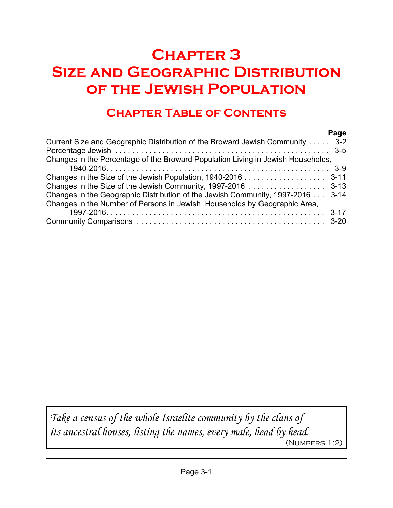# **Chapter 3 Size and Geographic Distribution of the Jewish Population**

## **Chapter Table of Contents**

|                                                                                  | Page |
|----------------------------------------------------------------------------------|------|
| Current Size and Geographic Distribution of the Broward Jewish Community  3-2    |      |
|                                                                                  |      |
| Changes in the Percentage of the Broward Population Living in Jewish Households, |      |
|                                                                                  |      |
|                                                                                  |      |
|                                                                                  |      |
| Changes in the Geographic Distribution of the Jewish Community, 1997-2016  3-14  |      |
| Changes in the Number of Persons in Jewish Households by Geographic Area,        |      |
|                                                                                  |      |
|                                                                                  |      |

*Take a census of the whole Israelite community by the clans of its ancestral houses, listing the names, every male, head by head.* (Numbers 1:2)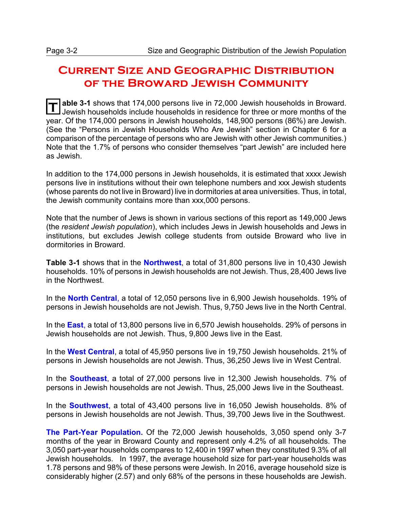### **Current Size and Geographic Distribution of the Broward Jewish Community**

**T** able 3-1 shows that 174,000 persons live in 72,000 Jewish households in Broward. Jewish households include households in residence for three or more months of the year. Of the 174,000 persons in Jewish households, 148,900 persons (86%) are Jewish. (See the "Persons in Jewish Households Who Are Jewish" section in Chapter 6 for a comparison of the percentage of persons who are Jewish with other Jewish communities.) Note that the 1.7% of persons who consider themselves "part Jewish" are included here as Jewish.

In addition to the 174,000 persons in Jewish households, it is estimated that xxxx Jewish persons live in institutions without their own telephone numbers and xxx Jewish students (whose parents do not live in Broward) live in dormitories at area universities. Thus, in total, the Jewish community contains more than xxx,000 persons.

Note that the number of Jews is shown in various sections of this report as 149,000 Jews (the *resident Jewish population*), which includes Jews in Jewish households and Jews in institutions, but excludes Jewish college students from outside Broward who live in dormitories in Broward.

**Table 3-1** shows that in the **Northwest**, a total of 31,800 persons live in 10,430 Jewish households. 10% of persons in Jewish households are not Jewish. Thus, 28,400 Jews live in the Northwest.

In the **North Central**, a total of 12,050 persons live in 6,900 Jewish households. 19% of persons in Jewish households are not Jewish. Thus, 9,750 Jews live in the North Central.

In the **East**, a total of 13,800 persons live in 6,570 Jewish households. 29% of persons in Jewish households are not Jewish. Thus, 9,800 Jews live in the East.

In the **West Central**, a total of 45,950 persons live in 19,750 Jewish households. 21% of persons in Jewish households are not Jewish. Thus, 36,250 Jews live in West Central.

In the **Southeast**, a total of 27,000 persons live in 12,300 Jewish households. 7% of persons in Jewish households are not Jewish. Thus, 25,000 Jews live in the Southeast.

In the **Southwest**, a total of 43,400 persons live in 16,050 Jewish households. 8% of persons in Jewish households are not Jewish. Thus, 39,700 Jews live in the Southwest.

**The Part-Year Population.** Of the 72,000 Jewish households, 3,050 spend only 3-7 months of the year in Broward County and represent only 4.2% of all households. The 3,050 part-year households compares to 12,400 in 1997 when they constituted 9.3% of all Jewish households. In 1997, the average household size for part-year households was 1.78 persons and 98% of these persons were Jewish. In 2016, average household size is considerably higher (2.57) and only 68% of the persons in these households are Jewish.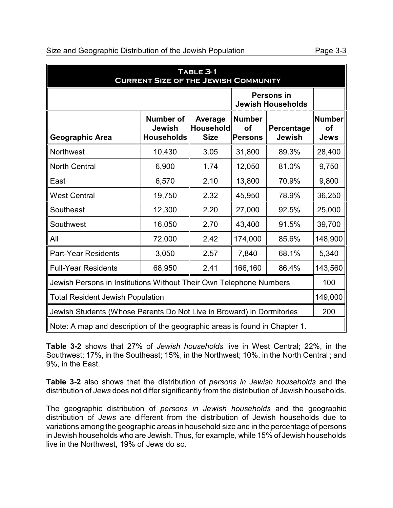### Size and Geographic Distribution of the Jewish Population **Page 3-3**

| TABLE 3-1<br><b>CURRENT SIZE OF THE JEWISH COMMUNITY</b>           |                                                 |                                            |                                              |                                               |                                    |  |
|--------------------------------------------------------------------|-------------------------------------------------|--------------------------------------------|----------------------------------------------|-----------------------------------------------|------------------------------------|--|
|                                                                    |                                                 |                                            |                                              | <b>Persons in</b><br><b>Jewish Households</b> |                                    |  |
| Geographic Area                                                    | <b>Number of</b><br>Jewish<br><b>Households</b> | Average<br><b>Household</b><br><b>Size</b> | <b>Number</b><br><b>of</b><br><b>Persons</b> | Percentage<br><b>Jewish</b>                   | Number<br><b>of</b><br><b>Jews</b> |  |
| Northwest                                                          | 10,430                                          | 3.05                                       | 31,800                                       | 89.3%                                         | 28,400                             |  |
| <b>North Central</b>                                               | 6,900                                           | 1.74                                       | 12,050                                       | 81.0%                                         | 9,750                              |  |
| East                                                               | 6,570                                           | 2.10                                       | 13,800                                       | 70.9%                                         | 9,800                              |  |
| <b>West Central</b>                                                | 19,750                                          | 2.32                                       | 45,950                                       | 78.9%                                         | 36,250                             |  |
| Southeast                                                          | 12,300                                          | 2.20                                       | 27,000                                       | 92.5%                                         | 25,000                             |  |
| Southwest                                                          | 16,050                                          | 2.70                                       | 43,400                                       | 91.5%                                         | 39,700                             |  |
| All                                                                | 72,000                                          | 2.42                                       | 174,000                                      | 85.6%                                         | 148,900                            |  |
| Part-Year Residents                                                | 3,050                                           | 2.57                                       | 7,840                                        | 68.1%                                         | 5,340                              |  |
| <b>Full-Year Residents</b>                                         | 68,950                                          | 2.41                                       | 166,160                                      | 86.4%                                         | 143,560                            |  |
| Jewish Persons in Institutions Without Their Own Telephone Numbers |                                                 |                                            |                                              |                                               | 100                                |  |

**Table 3-2** shows that 27% of *Jewish households* live in West Central; 22%, in the Southwest; 17%, in the Southeast; 15%, in the Northwest; 10%, in the North Central ; and 9%, in the East.

Total Resident Jewish Population 149,000

Jewish Students (Whose Parents Do Not Live in Broward) in Dormitories 200

Note: A map and description of the geographic areas is found in Chapter 1.

**Table 3-2** also shows that the distribution of *persons in Jewish households* and the distribution of *Jews* does not differ significantly from the distribution of Jewish households.

The geographic distribution of *persons in Jewish households* and the geographic distribution of *Jews* are different from the distribution of Jewish households due to variations among the geographic areas in household size and in the percentage of persons in Jewish households who are Jewish. Thus, for example, while 15% of Jewish households live in the Northwest, 19% of Jews do so.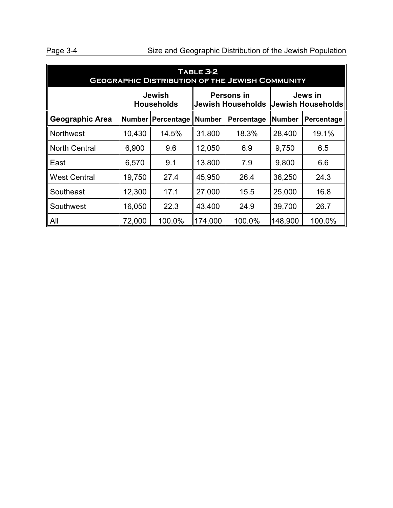## Page 3-4 Size and Geographic Distribution of the Jewish Population

| TABLE 3-2<br><b>GEOGRAPHIC DISTRIBUTION OF THE JEWISH COMMUNITY</b> |                                                                                                                            |                                                    |         |        |         |            |  |
|---------------------------------------------------------------------|----------------------------------------------------------------------------------------------------------------------------|----------------------------------------------------|---------|--------|---------|------------|--|
|                                                                     | <b>Jewish</b><br><b>Persons in</b><br>Jews in<br><b>Jewish Households</b><br><b>Jewish Households</b><br><b>Households</b> |                                                    |         |        |         |            |  |
| <b>Geographic Area</b>                                              |                                                                                                                            | <b>Number</b><br>Number   Percentage<br>Percentage |         |        | Number  | Percentage |  |
| <b>Northwest</b>                                                    | 10,430                                                                                                                     | 14.5%                                              | 31,800  | 18.3%  | 28,400  | 19.1%      |  |
| <b>North Central</b>                                                | 6,900                                                                                                                      | 9.6                                                | 12,050  | 6.9    | 9,750   | 6.5        |  |
| East                                                                | 6,570                                                                                                                      | 9.1                                                | 13,800  | 7.9    | 9,800   | 6.6        |  |
| <b>West Central</b>                                                 | 19,750                                                                                                                     | 27.4                                               | 45,950  | 26.4   | 36,250  | 24.3       |  |
| Southeast                                                           | 12,300                                                                                                                     | 17.1                                               | 27,000  | 15.5   | 25,000  | 16.8       |  |
| Southwest                                                           | 16,050                                                                                                                     | 22.3                                               | 43,400  | 24.9   | 39,700  | 26.7       |  |
| All                                                                 | 72,000                                                                                                                     | 100.0%                                             | 174,000 | 100.0% | 148,900 | 100.0%     |  |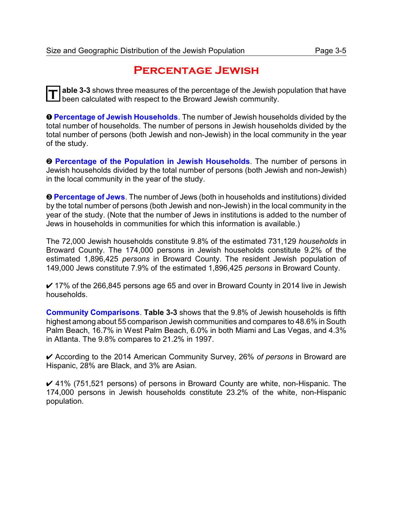### **Percentage Jewish**

**T** able 3-3 shows three measures of the percentage of the Jewish population that have been calculated with respect to the Broward Jewish community.

**O Percentage of Jewish Households**. The number of Jewish households divided by the total number of households. The number of persons in Jewish households divided by the total number of persons (both Jewish and non-Jewish) in the local community in the year of the study.

**<sup>2</sup> Percentage of the Population in Jewish Households**. The number of persons in Jewish households divided by the total number of persons (both Jewish and non-Jewish) in the local community in the year of the study.

**<sup>©</sup> Percentage of Jews**. The number of Jews (both in households and institutions) divided by the total number of persons (both Jewish and non-Jewish) in the local community in the year of the study. (Note that the number of Jews in institutions is added to the number of Jews in households in communities for which this information is available.)

The 72,000 Jewish households constitute 9.8% of the estimated 731,129 *households* in Broward County. The 174,000 persons in Jewish households constitute 9.2% of the estimated 1,896,425 *persons* in Broward County. The resident Jewish population of 149,000 Jews constitute 7.9% of the estimated 1,896,425 *persons* in Broward County.

 $\checkmark$  17% of the 266,845 persons age 65 and over in Broward County in 2014 live in Jewish households.

**Community Comparisons**. **Table 3-3** shows that the 9.8% of Jewish households is fifth highest among about 55 comparison Jewish communities and compares to 48.6% in South Palm Beach, 16.7% in West Palm Beach, 6.0% in both Miami and Las Vegas, and 4.3% in Atlanta. The 9.8% compares to 21.2% in 1997.

U According to the 2014 American Community Survey, 26% *of persons* in Broward are Hispanic, 28% are Black, and 3% are Asian.

 $\vee$  41% (751,521 persons) of persons in Broward County are white, non-Hispanic. The 174,000 persons in Jewish households constitute 23.2% of the white, non-Hispanic population.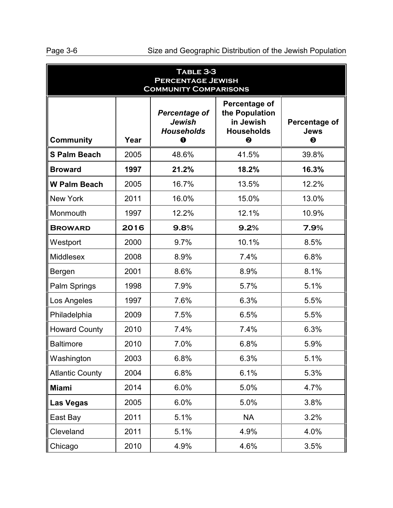| TABLE 3-3<br><b>PERCENTAGE JEWISH</b><br><b>COMMUNITY COMPARISONS</b> |      |                                                                        |                                                                        |                                                       |  |
|-----------------------------------------------------------------------|------|------------------------------------------------------------------------|------------------------------------------------------------------------|-------------------------------------------------------|--|
| <b>Community</b>                                                      | Year | <b>Percentage of</b><br><b>Jewish</b><br><b>Households</b><br>$\bf{0}$ | Percentage of<br>the Population<br>in Jewish<br><b>Households</b><br>❷ | Percentage of<br><b>Jews</b><br>$\boldsymbol{\Theta}$ |  |
| <b>S Palm Beach</b>                                                   | 2005 | 48.6%                                                                  | 41.5%                                                                  | 39.8%                                                 |  |
| <b>Broward</b>                                                        | 1997 | 21.2%                                                                  | 18.2%                                                                  | 16.3%                                                 |  |
| <b>W Palm Beach</b>                                                   | 2005 | 16.7%                                                                  | 13.5%                                                                  | 12.2%                                                 |  |
| <b>New York</b>                                                       | 2011 | 16.0%                                                                  | 15.0%                                                                  | 13.0%                                                 |  |
| Monmouth                                                              | 1997 | 12.2%                                                                  | 12.1%                                                                  | 10.9%                                                 |  |
| <b>BROWARD</b>                                                        | 2016 | 9.8%                                                                   | 9.2%                                                                   | 7.9%                                                  |  |
| Westport                                                              | 2000 | 9.7%                                                                   | 10.1%                                                                  | 8.5%                                                  |  |
| Middlesex                                                             | 2008 | 8.9%                                                                   | 7.4%                                                                   | 6.8%                                                  |  |
| Bergen                                                                | 2001 | 8.6%                                                                   | 8.9%                                                                   | 8.1%                                                  |  |
| Palm Springs                                                          | 1998 | 7.9%                                                                   | 5.7%                                                                   | 5.1%                                                  |  |
| Los Angeles                                                           | 1997 | 7.6%                                                                   | 6.3%                                                                   | 5.5%                                                  |  |
| Philadelphia                                                          | 2009 | 7.5%                                                                   | 6.5%                                                                   | 5.5%                                                  |  |
| <b>Howard County</b>                                                  | 2010 | 7.4%                                                                   | 7.4%                                                                   | 6.3%                                                  |  |
| <b>Baltimore</b>                                                      | 2010 | 7.0%                                                                   | 6.8%                                                                   | 5.9%                                                  |  |
| Washington                                                            | 2003 | 6.8%                                                                   | 6.3%                                                                   | 5.1%                                                  |  |
| <b>Atlantic County</b>                                                | 2004 | 6.8%                                                                   | 6.1%                                                                   | 5.3%                                                  |  |
| <b>Miami</b>                                                          | 2014 | 6.0%                                                                   | 5.0%                                                                   | 4.7%                                                  |  |
| <b>Las Vegas</b>                                                      | 2005 | 6.0%                                                                   | 5.0%                                                                   | 3.8%                                                  |  |
| East Bay                                                              | 2011 | 5.1%                                                                   | <b>NA</b>                                                              | 3.2%                                                  |  |
| Cleveland                                                             | 2011 | 5.1%                                                                   | 4.9%                                                                   | 4.0%                                                  |  |
| Chicago                                                               | 2010 | 4.9%                                                                   | 4.6%                                                                   | 3.5%                                                  |  |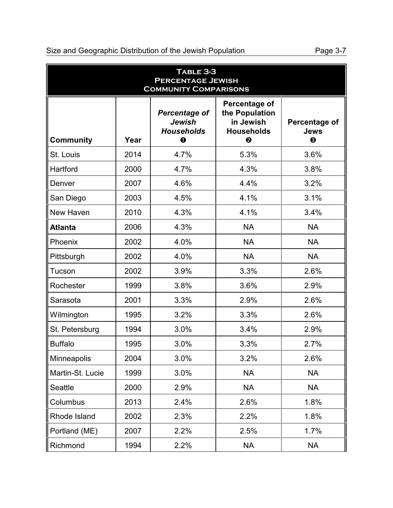|  |  |  | Size and Geographic Distribution of the Jewish Population |  |  |  |
|--|--|--|-----------------------------------------------------------|--|--|--|
|--|--|--|-----------------------------------------------------------|--|--|--|

Page 3-7

| TABLE 3-3<br><b>PERCENTAGE JEWISH</b><br><b>COMMUNITY COMPARISONS</b> |      |                                                                |                                                                        |                                                       |  |
|-----------------------------------------------------------------------|------|----------------------------------------------------------------|------------------------------------------------------------------------|-------------------------------------------------------|--|
| <b>Community</b>                                                      | Year | <b>Percentage of</b><br>Jewish<br><b>Households</b><br>$\bf 0$ | Percentage of<br>the Population<br>in Jewish<br><b>Households</b><br>❷ | Percentage of<br><b>Jews</b><br>$\boldsymbol{\Theta}$ |  |
| St. Louis                                                             | 2014 | 4.7%                                                           | 5.3%                                                                   | 3.6%                                                  |  |
| Hartford                                                              | 2000 | 4.7%                                                           | 4.3%                                                                   | 3.8%                                                  |  |
| Denver                                                                | 2007 | 4.6%                                                           | 4.4%                                                                   | 3.2%                                                  |  |
| San Diego                                                             | 2003 | 4.5%                                                           | 4.1%                                                                   | 3.1%                                                  |  |
| New Haven                                                             | 2010 | 4.3%                                                           | 4.1%                                                                   | 3.4%                                                  |  |
| <b>Atlanta</b>                                                        | 2006 | 4.3%                                                           | <b>NA</b>                                                              | <b>NA</b>                                             |  |
| Phoenix                                                               | 2002 | 4.0%                                                           | <b>NA</b>                                                              | <b>NA</b>                                             |  |
| Pittsburgh                                                            | 2002 | 4.0%                                                           | <b>NA</b>                                                              | <b>NA</b>                                             |  |
| Tucson                                                                | 2002 | 3.9%                                                           | 3.3%                                                                   | 2.6%                                                  |  |
| Rochester                                                             | 1999 | 3.8%                                                           | 3.6%                                                                   | 2.9%                                                  |  |
| Sarasota                                                              | 2001 | 3.3%                                                           | 2.9%                                                                   | 2.6%                                                  |  |
| Wilmington                                                            | 1995 | 3.2%                                                           | 3.3%                                                                   | 2.6%                                                  |  |
| St. Petersburg                                                        | 1994 | 3.0%                                                           | 3.4%                                                                   | 2.9%                                                  |  |
| <b>Buffalo</b>                                                        | 1995 | 3.0%                                                           | 3.3%                                                                   | 2.7%                                                  |  |
| Minneapolis                                                           | 2004 | 3.0%                                                           | 3.2%                                                                   | 2.6%                                                  |  |
| Martin-St. Lucie                                                      | 1999 | 3.0%                                                           | <b>NA</b>                                                              | <b>NA</b>                                             |  |
| <b>Seattle</b>                                                        | 2000 | 2.9%                                                           | <b>NA</b>                                                              | <b>NA</b>                                             |  |
| Columbus                                                              | 2013 | 2.4%                                                           | 2.6%                                                                   | 1.8%                                                  |  |
| Rhode Island                                                          | 2002 | 2.3%                                                           | 2.2%                                                                   | 1.8%                                                  |  |
| Portland (ME)                                                         | 2007 | 2.2%                                                           | 2.5%                                                                   | 1.7%                                                  |  |
| Richmond                                                              | 1994 | 2.2%                                                           | <b>NA</b>                                                              | <b>NA</b>                                             |  |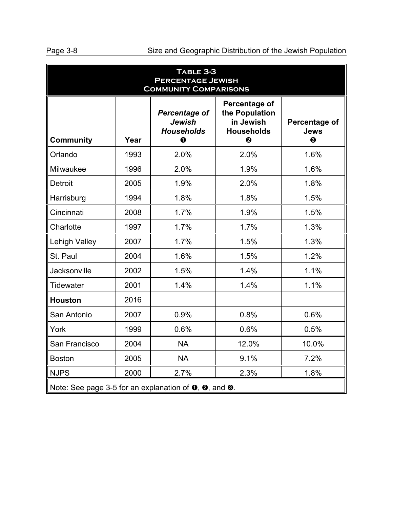| TABLE 3-3<br><b>PERCENTAGE JEWISH</b><br><b>COMMUNITY COMPARISONS</b>            |      |                                                                           |                                                       |       |  |
|----------------------------------------------------------------------------------|------|---------------------------------------------------------------------------|-------------------------------------------------------|-------|--|
| <b>Community</b>                                                                 | Year | <b>Percentage of</b><br><b>Jewish</b><br><b>Households</b><br>$\mathbf 0$ | Percentage of<br><b>Jews</b><br>$\boldsymbol{\Theta}$ |       |  |
| Orlando                                                                          | 1993 | 2.0%                                                                      | 2.0%                                                  | 1.6%  |  |
| Milwaukee                                                                        | 1996 | 2.0%                                                                      | 1.9%                                                  | 1.6%  |  |
| <b>Detroit</b>                                                                   | 2005 | 1.9%                                                                      | 2.0%                                                  | 1.8%  |  |
| Harrisburg                                                                       | 1994 | 1.8%                                                                      | 1.8%                                                  | 1.5%  |  |
| Cincinnati                                                                       | 2008 | 1.7%                                                                      | 1.9%                                                  | 1.5%  |  |
| Charlotte                                                                        | 1997 | 1.7%                                                                      | 1.7%                                                  | 1.3%  |  |
| Lehigh Valley                                                                    | 2007 | 1.7%                                                                      | 1.5%                                                  | 1.3%  |  |
| St. Paul                                                                         | 2004 | 1.6%                                                                      | 1.5%                                                  | 1.2%  |  |
| <b>Jacksonville</b>                                                              | 2002 | 1.5%                                                                      | 1.4%                                                  | 1.1%  |  |
| <b>Tidewater</b>                                                                 | 2001 | 1.4%                                                                      | 1.4%                                                  | 1.1%  |  |
| <b>Houston</b>                                                                   | 2016 |                                                                           |                                                       |       |  |
| San Antonio                                                                      | 2007 | 0.9%                                                                      | 0.8%                                                  | 0.6%  |  |
| York                                                                             | 1999 | 0.6%                                                                      | 0.6%                                                  | 0.5%  |  |
| San Francisco                                                                    | 2004 | <b>NA</b>                                                                 | 12.0%                                                 | 10.0% |  |
| <b>Boston</b>                                                                    | 2005 | <b>NA</b>                                                                 | 9.1%                                                  | 7.2%  |  |
| <b>NJPS</b>                                                                      | 2000 | 2.7%                                                                      | 2.3%                                                  | 1.8%  |  |
| Note: See page 3-5 for an explanation of $\bullet$ , $\bullet$ , and $\bullet$ . |      |                                                                           |                                                       |       |  |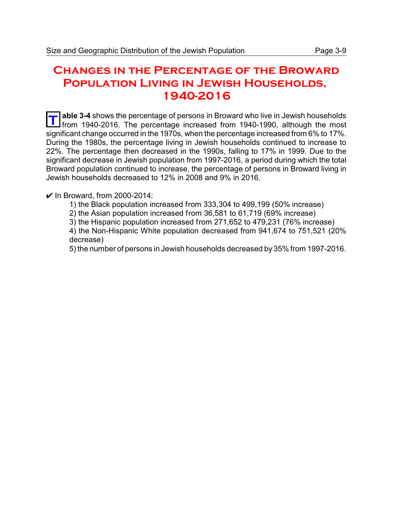### **Changes in the Percentage of the Broward Population Living in Jewish Households, 1940-2016**

**T** able 3-4 shows the percentage of persons in Broward who live in Jewish households from 1940-2016. The percentage increased from 1940-1990, although the most **able 3-4** shows the percentage of persons in Broward who live in Jewish households significant change occurred in the 1970s, when the percentage increased from 6% to 17%. During the 1980s, the percentage living in Jewish households continued to increase to 22%. The percentage then decreased in the 1990s, falling to 17% in 1999. Due to the significant decrease in Jewish population from 1997-2016, a period during which the total Broward population continued to increase, the percentage of persons in Broward living in Jewish households decreased to 12% in 2008 and 9% in 2016.

### $\nu$  In Broward, from 2000-2014:

- 1) the Black population increased from 333,304 to 499,199 (50% increase)
- 2) the Asian population increased from 36,581 to 61,719 (69% increase)
- 3) the Hispanic population increased from 271,652 to 479,231 (76% increase)

4) the Non-Hispanic White population decreased from 941,674 to 751,521 (20% decrease)

5) the number of persons in Jewish households decreased by 35% from 1997-2016.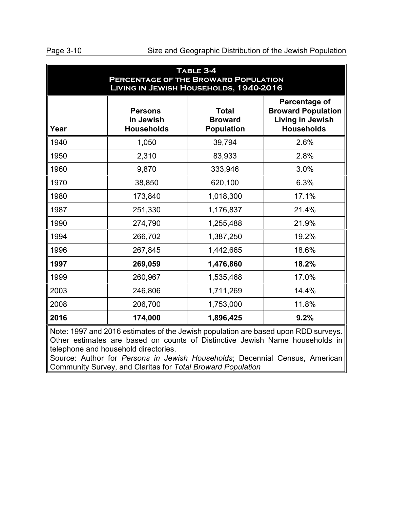| TABLE 3-4<br><b>PERCENTAGE OF THE BROWARD POPULATION</b><br>LIVING IN JEWISH HOUSEHOLDS, 1940-2016 |                                                  |                                                     |                                                                                            |  |  |  |
|----------------------------------------------------------------------------------------------------|--------------------------------------------------|-----------------------------------------------------|--------------------------------------------------------------------------------------------|--|--|--|
| Year                                                                                               | <b>Persons</b><br>in Jewish<br><b>Households</b> | <b>Total</b><br><b>Broward</b><br><b>Population</b> | Percentage of<br><b>Broward Population</b><br><b>Living in Jewish</b><br><b>Households</b> |  |  |  |
| 1940                                                                                               | 1,050                                            | 39,794                                              | 2.6%                                                                                       |  |  |  |
| 1950                                                                                               | 2,310                                            | 83,933                                              | 2.8%                                                                                       |  |  |  |
| 1960                                                                                               | 9,870                                            | 333,946                                             | 3.0%                                                                                       |  |  |  |
| 1970                                                                                               | 38,850                                           | 620,100                                             | 6.3%                                                                                       |  |  |  |
| 1980                                                                                               | 173,840                                          | 1,018,300                                           | 17.1%                                                                                      |  |  |  |
| 1987                                                                                               | 251,330                                          | 1,176,837                                           | 21.4%                                                                                      |  |  |  |
| 1990                                                                                               | 274,790                                          | 1,255,488                                           | 21.9%                                                                                      |  |  |  |
| 1994                                                                                               | 266,702                                          | 1,387,250                                           | 19.2%                                                                                      |  |  |  |
| 1996                                                                                               | 267,845                                          | 1,442,665                                           | 18.6%                                                                                      |  |  |  |
| 1997                                                                                               | 269,059                                          | 1,476,860                                           | 18.2%                                                                                      |  |  |  |
| 1999                                                                                               | 260,967                                          | 1,535,468                                           | 17.0%                                                                                      |  |  |  |
| 2003                                                                                               | 246,806                                          | 1,711,269                                           | 14.4%                                                                                      |  |  |  |
| 2008                                                                                               | 206,700                                          | 1,753,000                                           | 11.8%                                                                                      |  |  |  |
| 2016                                                                                               | 174,000                                          | 1,896,425                                           | 9.2%                                                                                       |  |  |  |

Note: 1997 and 2016 estimates of the Jewish population are based upon RDD surveys. Other estimates are based on counts of Distinctive Jewish Name households in telephone and household directories.

Source: Author for *Persons in Jewish Households*; Decennial Census, American Community Survey, and Claritas for *Total Broward Population*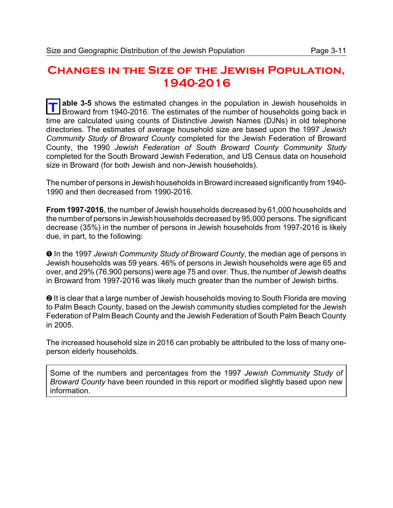### **Changes in the Size of the Jewish Population, 1940-2016**

**T** able 3-5 shows the estimated changes in the population in Jewish households in Broward from 1940-2016. The estimates of the number of households going back in **able 3-5** shows the estimated changes in the population in Jewish households in time are calculated using counts of Distinctive Jewish Names (DJNs) in old telephone directories. The estimates of average household size are based upon the 1997 *Jewish Community Study of Broward County* completed for the Jewish Federation of Broward County, the 1990 *Jewish Federation of South Broward County Community Study* completed for the South Broward Jewish Federation, and US Census data on household size in Broward (for both Jewish and non-Jewish households).

The number of persons in Jewish households in Broward increased significantly from 1940- 1990 and then decreased from 1990-2016.

**From 1997-2016**, the number of Jewish households decreased by 61,000 households and the number of persons in Jewish households decreased by 95,000 persons. The significant decrease (35%) in the number of persons in Jewish households from 1997-2016 is likely due, in part, to the following:

 $\bullet$  In the 1997 *Jewish Community Study of Broward County*, the median age of persons in Jewish households was 59 years. 46% of persons in Jewish households were age 65 and over, and 29% (76,900 persons) were age 75 and over. Thus, the number of Jewish deaths in Broward from 1997-2016 was likely much greater than the number of Jewish births.

<sup>2</sup> It is clear that a large number of Jewish households moving to South Florida are moving to Palm Beach County, based on the Jewish community studies completed for the Jewish Federation of Palm Beach County and the Jewish Federation of South Palm Beach County in 2005.

The increased household size in 2016 can probably be attributed to the loss of many oneperson elderly households.

Some of the numbers and percentages from the 1997 *Jewish Community Study of Broward County* have been rounded in this report or modified slightly based upon new information.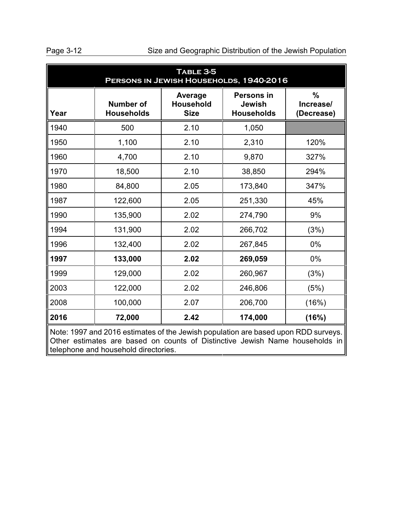Page 3-12 Size and Geographic Distribution of the Jewish Population

| TABLE 3-5<br>PERSONS IN JEWISH HOUSEHOLDS, 1940-2016 |                                                                                                                                                                    |                                            |                                                         |                                          |  |  |
|------------------------------------------------------|--------------------------------------------------------------------------------------------------------------------------------------------------------------------|--------------------------------------------|---------------------------------------------------------|------------------------------------------|--|--|
| Year                                                 | <b>Number of</b><br><b>Households</b>                                                                                                                              | Average<br><b>Household</b><br><b>Size</b> | <b>Persons in</b><br><b>Jewish</b><br><b>Households</b> | $\frac{0}{0}$<br>Increase/<br>(Decrease) |  |  |
| 1940                                                 | 500                                                                                                                                                                | 2.10                                       | 1,050                                                   |                                          |  |  |
| 1950                                                 | 1,100                                                                                                                                                              | 2.10                                       | 2,310                                                   | 120%                                     |  |  |
| 1960                                                 | 4,700                                                                                                                                                              | 2.10                                       | 9,870                                                   | 327%                                     |  |  |
| 1970                                                 | 18,500                                                                                                                                                             | 2.10                                       | 38,850                                                  | 294%                                     |  |  |
| 1980                                                 | 84,800                                                                                                                                                             | 2.05                                       | 173,840                                                 | 347%                                     |  |  |
| 1987                                                 | 122,600                                                                                                                                                            | 2.05                                       | 251,330                                                 | 45%                                      |  |  |
| 1990                                                 | 135,900                                                                                                                                                            | 2.02                                       | 274,790                                                 | 9%                                       |  |  |
| 1994                                                 | 131,900                                                                                                                                                            | 2.02                                       | 266,702                                                 | (3%)                                     |  |  |
| 1996                                                 | 132,400                                                                                                                                                            | 2.02                                       | 267,845                                                 | $0\%$                                    |  |  |
| 1997                                                 | 133,000                                                                                                                                                            | 2.02                                       | 269,059                                                 | 0%                                       |  |  |
| 1999                                                 | 129,000                                                                                                                                                            | 2.02                                       | 260,967                                                 | (3%)                                     |  |  |
| 2003                                                 | 122,000                                                                                                                                                            | 2.02                                       | 246,806                                                 | (5%)                                     |  |  |
| 2008                                                 | 100,000                                                                                                                                                            | 2.07                                       | 206,700                                                 | (16%)                                    |  |  |
| 2016                                                 | 72,000                                                                                                                                                             | 2.42                                       | 174,000                                                 | (16%)                                    |  |  |
|                                                      | Note: 1997 and 2016 estimates of the Jewish population are based upon RDD surveys.<br>Other estimates are based on counts of Distinctive Jewish Name households in |                                            |                                                         |                                          |  |  |

telephone and household directories.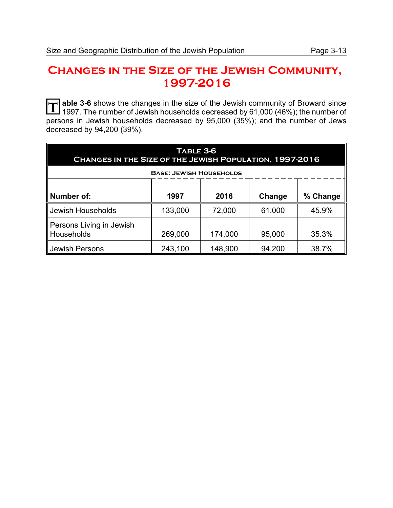## **Changes in the Size of the Jewish Community, 1997-2016**

**T** able 3-6 shows the changes in the size of the Jewish community of Broward since<br>1997 The number of Jewish bouseholds decreased by 61,000 (46%); the number of 1997. The number of Jewish households decreased by 61,000 (46%); the number of persons in Jewish households decreased by 95,000 (35%); and the number of Jews decreased by 94,200 (39%).

| <b>TABLE 3-6</b><br>CHANGES IN THE SIZE OF THE JEWISH POPULATION, 1997-2016 |         |         |        |          |  |
|-----------------------------------------------------------------------------|---------|---------|--------|----------|--|
| <b>BASE: JEWISH HOUSEHOLDS</b>                                              |         |         |        |          |  |
| Number of:                                                                  | 1997    | 2016    | Change | % Change |  |
| Jewish Households                                                           | 133,000 | 72,000  | 61,000 | 45.9%    |  |
| Persons Living in Jewish<br>Households                                      | 269,000 | 174,000 | 95,000 | 35.3%    |  |
| <b>Jewish Persons</b>                                                       | 243,100 | 148,900 | 94,200 | 38.7%    |  |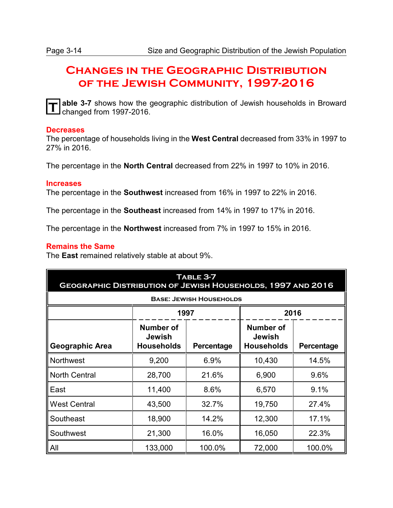## **Changes in the Geographic Distribution of the Jewish Community, 1997-2016**

**T**

**able 3-7** shows how the geographic distribution of Jewish households in Broward changed from 1997-2016.

#### **Decreases**

The percentage of households living in the **West Central** decreased from 33% in 1997 to 27% in 2016.

The percentage in the **North Central** decreased from 22% in 1997 to 10% in 2016.

#### **Increases**

The percentage in the **Southwest** increased from 16% in 1997 to 22% in 2016.

The percentage in the **Southeast** increased from 14% in 1997 to 17% in 2016.

The percentage in the **Northwest** increased from 7% in 1997 to 15% in 2016.

#### **Remains the Same**

The **East** remained relatively stable at about 9%.

| TABLE 3-7<br><b>GEOGRAPHIC DISTRIBUTION OF JEWISH HOUSEHOLDS, 1997 AND 2016</b> |                                          |                                |                                                 |            |  |  |  |
|---------------------------------------------------------------------------------|------------------------------------------|--------------------------------|-------------------------------------------------|------------|--|--|--|
|                                                                                 |                                          | <b>BASE: JEWISH HOUSEHOLDS</b> |                                                 |            |  |  |  |
|                                                                                 | 1997                                     |                                | 2016                                            |            |  |  |  |
| <b>Geographic Area</b>                                                          | Number of<br>Jewish<br><b>Households</b> | Percentage                     | Number of<br><b>Jewish</b><br><b>Households</b> | Percentage |  |  |  |
| <b>Northwest</b>                                                                | 9,200                                    | 6.9%                           | 10,430                                          | 14.5%      |  |  |  |
| <b>North Central</b>                                                            | 28,700                                   | 21.6%                          | 6,900                                           | 9.6%       |  |  |  |
| East                                                                            | 11,400                                   | 8.6%                           | 6,570                                           | 9.1%       |  |  |  |
| <b>West Central</b>                                                             | 43,500                                   | 32.7%                          | 19,750                                          | 27.4%      |  |  |  |
| Southeast                                                                       | 18,900                                   | 14.2%                          | 12,300                                          | 17.1%      |  |  |  |
| Southwest                                                                       | 21,300                                   | 16.0%                          | 16,050                                          | 22.3%      |  |  |  |
| <b>All</b>                                                                      | 133,000                                  | 100.0%                         | 72,000                                          | 100.0%     |  |  |  |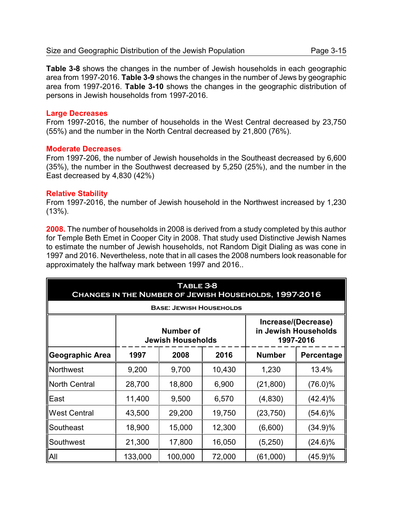**Table 3-8** shows the changes in the number of Jewish households in each geographic area from 1997-2016. **Table 3-9** shows the changes in the number of Jews by geographic area from 1997-2016. **Table 3-10** shows the changes in the geographic distribution of persons in Jewish households from 1997-2016.

#### **Large Decreases**

From 1997-2016, the number of households in the West Central decreased by 23,750 (55%) and the number in the North Central decreased by 21,800 (76%).

#### **Moderate Decreases**

From 1997-206, the number of Jewish households in the Southeast decreased by 6,600 (35%), the number in the Southwest decreased by 5,250 (25%), and the number in the East decreased by 4,830 (42%)

#### **Relative Stability**

From 1997-2016, the number of Jewish household in the Northwest increased by 1,230 (13%).

**2008.** The number of households in 2008 is derived from a study completed by this author for Temple Beth Emet in Cooper City in 2008. That study used Distinctive Jewish Names to estimate the number of Jewish households, not Random Digit Dialing as was cone in 1997 and 2016. Nevertheless, note that in all cases the 2008 numbers look reasonable for approximately the halfway mark between 1997 and 2016..

| TABLE 3-8<br>CHANGES IN THE NUMBER OF JEWISH HOUSEHOLDS, 1997-2016 |                                                                                                          |                                |        |               |            |  |
|--------------------------------------------------------------------|----------------------------------------------------------------------------------------------------------|--------------------------------|--------|---------------|------------|--|
|                                                                    |                                                                                                          | <b>BASE: JEWISH HOUSEHOLDS</b> |        |               |            |  |
|                                                                    | Increase/(Decrease)<br><b>Number of</b><br>in Jewish Households<br>1997-2016<br><b>Jewish Households</b> |                                |        |               |            |  |
| Geographic Area                                                    | 1997                                                                                                     | 2008                           | 2016   | <b>Number</b> | Percentage |  |
| Northwest                                                          | 9,200                                                                                                    | 9,700                          | 10,430 | 1,230         | 13.4%      |  |
| North Central                                                      | 28,700                                                                                                   | 18,800                         | 6,900  | (21, 800)     | $(76.0)\%$ |  |
| East                                                               | 11,400                                                                                                   | 9,500                          | 6,570  | (4,830)       | $(42.4)\%$ |  |
| <b>West Central</b>                                                | 43,500                                                                                                   | 29,200                         | 19,750 | (23, 750)     | $(54.6)\%$ |  |
| Southeast                                                          | 18,900                                                                                                   | 15,000                         | 12,300 | (6,600)       | (34.9)%    |  |
| Southwest                                                          | 21,300                                                                                                   | 17,800                         | 16,050 | (5,250)       | $(24.6)\%$ |  |
| <b>IAII</b>                                                        | 133,000                                                                                                  | 100,000                        | 72,000 | (61,000)      | (45.9)%    |  |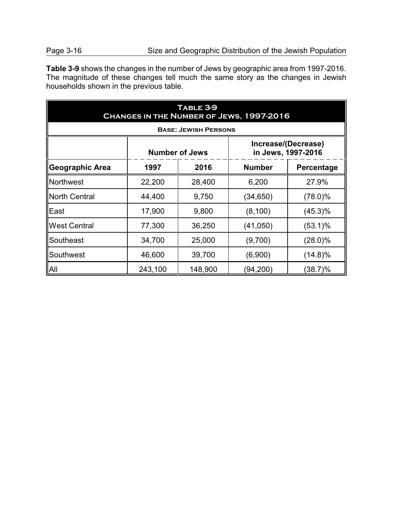**Table 3-9** shows the changes in the number of Jews by geographic area from 1997-2016. The magnitude of these changes tell much the same story as the changes in Jewish households shown in the previous table.

| <b>TABLE 3-9</b><br>CHANGES IN THE NUMBER OF JEWS, 1997-2016 |                             |                       |                                           |            |  |  |  |
|--------------------------------------------------------------|-----------------------------|-----------------------|-------------------------------------------|------------|--|--|--|
|                                                              | <b>BASE: JEWISH PERSONS</b> |                       |                                           |            |  |  |  |
|                                                              |                             | <b>Number of Jews</b> | Increase/(Decrease)<br>in Jews, 1997-2016 |            |  |  |  |
| Geographic Area                                              | 1997                        | 2016                  | <b>Number</b>                             | Percentage |  |  |  |
| <b>Northwest</b>                                             | 22,200                      | 28,400                | 6,200                                     | 27.9%      |  |  |  |
| North Central                                                | 44,400                      | 9,750                 | (34,650)                                  | $(78.0)\%$ |  |  |  |
| <b>IEast</b>                                                 | 17,900                      | 9,800                 | (8, 100)                                  | $(45.3)\%$ |  |  |  |
| <b>West Central</b>                                          | 77,300                      | 36,250                | (41, 050)                                 | $(53.1)\%$ |  |  |  |
| Southeast                                                    | 34,700                      | 25,000                | (9,700)                                   | $(28.0)\%$ |  |  |  |
| Southwest                                                    | 46,600                      | 39,700                | (6,900)                                   | $(14.8)\%$ |  |  |  |
| <b>All</b>                                                   | 243,100                     | 148,900               | (94, 200)                                 | (38.7)%    |  |  |  |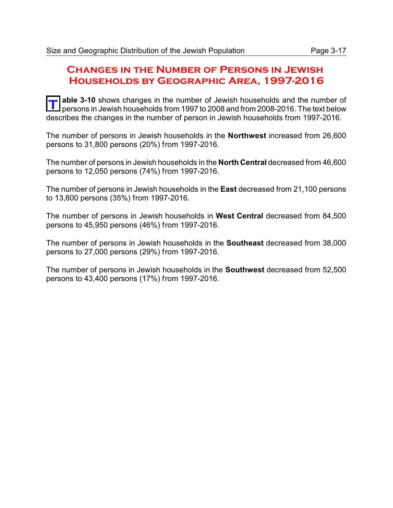### **Changes in the Number of Persons in Jewish Households by Geographic Area, 1997-2016**

**T** able 3-10 shows changes in the number of Jewish households and the number of able with holow and transport of new port of the text holow persons in Jewish households from 1997 to 2008 and from 2008-2016. The text below describes the changes in the number of person in Jewish households from 1997-2016.

The number of persons in Jewish households in the **Northwest** increased from 26,600 persons to 31,800 persons (20%) from 1997-2016.

The number of persons in Jewish households in the **North Central** decreased from 46,600 persons to 12,050 persons (74%) from 1997-2016.

The number of persons in Jewish households in the **East** decreased from 21,100 persons to 13,800 persons (35%) from 1997-2016.

The number of persons in Jewish households in **West Central** decreased from 84,500 persons to 45,950 persons (46%) from 1997-2016.

The number of persons in Jewish households in the **Southeast** decreased from 38,000 persons to 27,000 persons (29%) from 1997-2016.

The number of persons in Jewish households in the **Southwest** decreased from 52,500 persons to 43,400 persons (17%) from 1997-2016.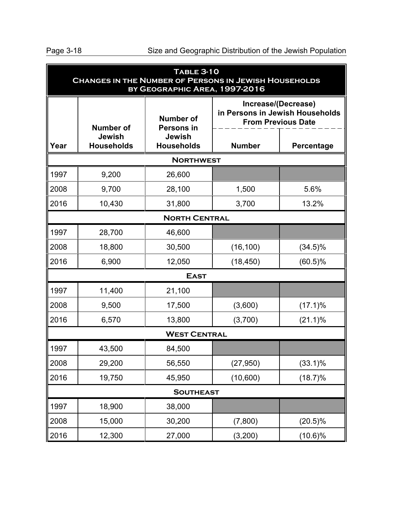| <b>TABLE 3-10</b><br><b>CHANGES IN THE NUMBER OF PERSONS IN JEWISH HOUSEHOLDS</b><br>BY GEOGRAPHIC AREA, 1997-2016 |                                    |                                    |                                                                                     |            |  |
|--------------------------------------------------------------------------------------------------------------------|------------------------------------|------------------------------------|-------------------------------------------------------------------------------------|------------|--|
| <b>Number of</b><br><b>Number of</b>                                                                               |                                    | <b>Persons in</b>                  | Increase/(Decrease)<br>in Persons in Jewish Households<br><b>From Previous Date</b> |            |  |
| Year                                                                                                               | <b>Jewish</b><br><b>Households</b> | <b>Jewish</b><br><b>Households</b> | <b>Number</b>                                                                       | Percentage |  |
|                                                                                                                    |                                    | <b>NORTHWEST</b>                   |                                                                                     |            |  |
| 1997                                                                                                               | 9,200                              | 26,600                             |                                                                                     |            |  |
| 2008                                                                                                               | 9,700                              | 28,100                             | 1,500                                                                               | 5.6%       |  |
| 2016                                                                                                               | 10,430                             | 31,800                             | 3,700                                                                               | 13.2%      |  |
|                                                                                                                    |                                    | <b>NORTH CENTRAL</b>               |                                                                                     |            |  |
| 1997                                                                                                               | 28,700                             | 46,600                             |                                                                                     |            |  |
| 2008                                                                                                               | 18,800                             | 30,500                             | (16, 100)                                                                           | $(34.5)\%$ |  |
| 2016                                                                                                               | 6,900                              | 12,050                             | (18, 450)                                                                           | $(60.5)\%$ |  |
|                                                                                                                    |                                    | <b>EAST</b>                        |                                                                                     |            |  |
| 1997                                                                                                               | 11,400                             | 21,100                             |                                                                                     |            |  |
| 2008                                                                                                               | 9,500                              | 17,500                             | (3,600)                                                                             | $(17.1)\%$ |  |
| 2016                                                                                                               | 6,570                              | 13,800                             | (3,700)                                                                             | $(21.1)\%$ |  |
| <b>WEST CENTRAL</b>                                                                                                |                                    |                                    |                                                                                     |            |  |
| 1997                                                                                                               | 43,500                             | 84,500                             |                                                                                     |            |  |
| 2008                                                                                                               | 29,200                             | 56,550                             | (27, 950)                                                                           | $(33.1)\%$ |  |
| 2016                                                                                                               | 19,750                             | 45,950                             | (10,600)                                                                            | $(18.7)\%$ |  |
| <b>SOUTHEAST</b>                                                                                                   |                                    |                                    |                                                                                     |            |  |
| 1997                                                                                                               | 18,900                             | 38,000                             |                                                                                     |            |  |
| 2008                                                                                                               | 15,000                             | 30,200                             | (7,800)                                                                             | $(20.5)\%$ |  |
| 2016                                                                                                               | 12,300                             | 27,000                             | (3,200)                                                                             | $(10.6)\%$ |  |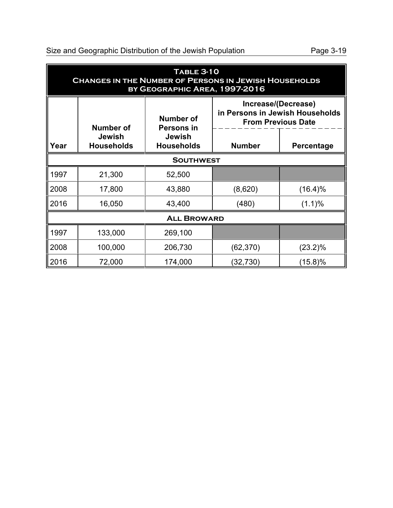Size and Geographic Distribution of the Jewish Population Page 3-19

| <b>TABLE 3-10</b><br><b>CHANGES IN THE NUMBER OF PERSONS IN JEWISH HOUSEHOLDS</b><br>BY GEOGRAPHIC AREA, 1997-2016 |                                    |                                       |               |                                                                                     |  |  |
|--------------------------------------------------------------------------------------------------------------------|------------------------------------|---------------------------------------|---------------|-------------------------------------------------------------------------------------|--|--|
|                                                                                                                    | Number of                          | <b>Number of</b><br><b>Persons in</b> |               | Increase/(Decrease)<br>in Persons in Jewish Households<br><b>From Previous Date</b> |  |  |
| Year                                                                                                               | <b>Jewish</b><br><b>Households</b> | <b>Jewish</b><br><b>Households</b>    | <b>Number</b> | Percentage                                                                          |  |  |
|                                                                                                                    | <b>SOUTHWEST</b>                   |                                       |               |                                                                                     |  |  |
| 1997                                                                                                               | 21,300                             | 52,500                                |               |                                                                                     |  |  |
| 2008                                                                                                               | 17,800                             | 43,880                                | (8,620)       | $(16.4)\%$                                                                          |  |  |
| 2016                                                                                                               | 16,050                             | 43,400                                | (480)         | (1.1)%                                                                              |  |  |
| <b>ALL BROWARD</b>                                                                                                 |                                    |                                       |               |                                                                                     |  |  |
| 1997                                                                                                               | 133,000                            | 269,100                               |               |                                                                                     |  |  |
| 2008                                                                                                               | 100,000                            | 206,730                               | (62, 370)     | $(23.2)\%$                                                                          |  |  |
| 2016                                                                                                               | 72,000                             | 174,000                               | (32,730)      | (15.8)%                                                                             |  |  |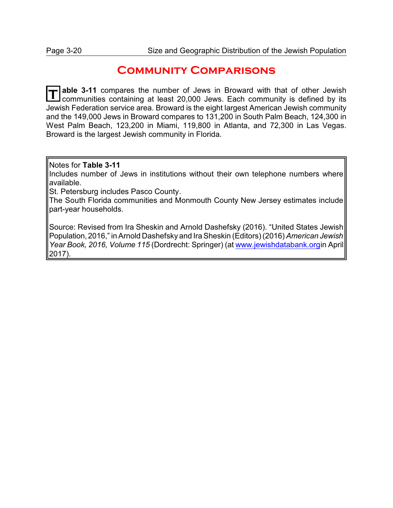### **Community Comparisons**

**T** able 3-11 compares the number of Jews in Broward with that of other Jewish communities containing at least 20,000 Jews. Each community is defined by its Jewish Federation service area. Broward is the eight largest American Jewish community and the 149,000 Jews in Broward compares to 131,200 in South Palm Beach, 124,300 in West Palm Beach, 123,200 in Miami, 119,800 in Atlanta, and 72,300 in Las Vegas. Broward is the largest Jewish community in Florida.

Notes for **Table 3-11**

Includes number of Jews in institutions without their own telephone numbers where available.

St. Petersburg includes Pasco County.

The South Florida communities and Monmouth County New Jersey estimates include part-year households.

Source: Revised from Ira Sheskin and Arnold Dashefsky (2016). "United States Jewish Population, 2016," in Arnold Dashefsky and Ira Sheskin (Editors) (2016) *American Jewish Year Book, 2016, Volume 115* (Dordrecht: Springer) (at [www.jewishdatabank.org](http://www.jewishdatabank.org)in April 2017).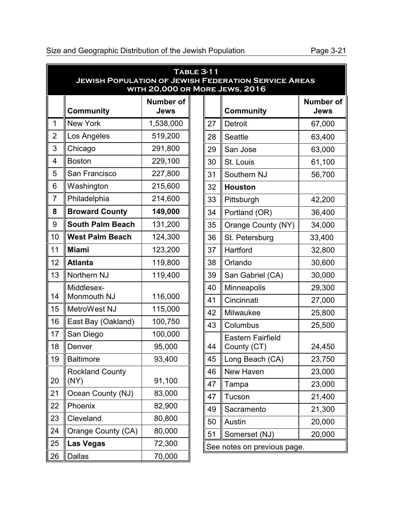### Size and Geographic Distribution of the Jewish Population Page 3-21

|                | <b>TABLE 3-11</b><br><b>JEWISH POPULATION OF JEWISH FEDERATION SERVICE AREAS</b><br>WITH 20,000 OR MORE JEWS, 2016 |                                 |  |    |                             |                                 |
|----------------|--------------------------------------------------------------------------------------------------------------------|---------------------------------|--|----|-----------------------------|---------------------------------|
|                | <b>Community</b>                                                                                                   | <b>Number of</b><br><b>Jews</b> |  |    | <b>Community</b>            | <b>Number of</b><br><b>Jews</b> |
| 1              | <b>New York</b>                                                                                                    | 1,538,000                       |  | 27 | Detroit                     | 67,000                          |
| $\overline{2}$ | Los Angeles                                                                                                        | 519,200                         |  | 28 | <b>Seattle</b>              | 63,400                          |
| 3              | Chicago                                                                                                            | 291,800                         |  | 29 | San Jose                    | 63,000                          |
| 4              | <b>Boston</b>                                                                                                      | 229,100                         |  | 30 | St. Louis                   | 61,100                          |
| 5              | San Francisco                                                                                                      | 227,800                         |  | 31 | Southern NJ                 | 56,700                          |
| 6              | Washington                                                                                                         | 215,600                         |  | 32 | <b>Houston</b>              |                                 |
| $\overline{7}$ | Philadelphia                                                                                                       | 214,600                         |  | 33 | Pittsburgh                  | 42,200                          |
| 8              | <b>Broward County</b>                                                                                              | 149,000                         |  | 34 | Portland (OR)               | 36,400                          |
| $9\,$          | <b>South Palm Beach</b>                                                                                            | 131,200                         |  | 35 | Orange County (NY)          | 34,000                          |
| 10             | <b>West Palm Beach</b>                                                                                             | 124,300                         |  | 36 | St. Petersburg              | 33,400                          |
| 11             | <b>Miami</b>                                                                                                       | 123,200                         |  | 37 | Hartford                    | 32,800                          |
| 12             | <b>Atlanta</b>                                                                                                     | 119,800                         |  | 38 | Orlando                     | 30,600                          |
| 13             | Northern NJ                                                                                                        | 119,400                         |  | 39 | San Gabriel (CA)            | 30,000                          |
|                | Middlesex-                                                                                                         |                                 |  | 40 | Minneapolis                 | 29,300                          |
| 14             | Monmouth NJ                                                                                                        | 116,000                         |  | 41 | Cincinnati                  | 27,000                          |
| 15             | MetroWest NJ                                                                                                       | 115,000                         |  | 42 | Milwaukee                   | 25,800                          |
| 16             | East Bay (Oakland)                                                                                                 | 100,750                         |  | 43 | Columbus                    | 25,500                          |
| 17             | San Diego                                                                                                          | 100,000                         |  |    | <b>Eastern Fairfield</b>    |                                 |
| 18             | Denver                                                                                                             | 95,000                          |  | 44 | County (CT)                 | 24,450                          |
| 19             | <b>Baltimore</b>                                                                                                   | 93,400                          |  | 45 | Long Beach (CA)             | 23,750                          |
| 20             | <b>Rockland County</b>                                                                                             |                                 |  | 46 | New Haven                   | 23,000                          |
|                | (NY)                                                                                                               | 91,100                          |  | 47 | Tampa                       | 23,000                          |
| 21             | Ocean County (NJ)                                                                                                  | 83,000                          |  | 47 | Tucson                      | 21,400                          |
| 22             | Phoenix                                                                                                            | 82,900                          |  | 49 | Sacramento                  | 21,300                          |
| 23             | Cleveland                                                                                                          | 80,800                          |  | 50 | Austin                      | 20,000                          |
| 24             | Orange County (CA)                                                                                                 | 80,000                          |  | 51 | Somerset (NJ)               | 20,000                          |
| 25             | <b>Las Vegas</b>                                                                                                   | 72,300                          |  |    | See notes on previous page. |                                 |
| 26             | <b>Dallas</b>                                                                                                      | 70,000                          |  |    |                             |                                 |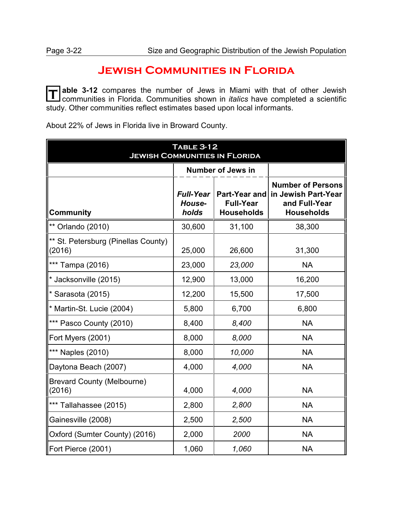### **Jewish Communities in Florida**

**T** able 3-12 compares the number of Jews in Miami with that of other Jewish communities in Florida. Communities shown in *italics* have completed a scientific study. Other communities reflect estimates based upon local informants.

| <b>TABLE 3-12</b><br><b>JEWISH COMMUNITIES IN FLORIDA</b> |                                     |                                                               |                                                                                       |  |
|-----------------------------------------------------------|-------------------------------------|---------------------------------------------------------------|---------------------------------------------------------------------------------------|--|
|                                                           |                                     | <b>Number of Jews in</b>                                      |                                                                                       |  |
| <b>Community</b>                                          | <b>Full-Year</b><br>House-<br>holds | <b>Part-Year and</b><br><b>Full-Year</b><br><b>Households</b> | <b>Number of Persons</b><br>in Jewish Part-Year<br>and Full-Year<br><b>Households</b> |  |
| ** Orlando (2010)                                         | 30,600                              | 31,100                                                        | 38,300                                                                                |  |
| ** St. Petersburg (Pinellas County)<br>(2016)             | 25,000                              | 26,600                                                        | 31,300                                                                                |  |
| *** Tampa (2016)                                          | 23,000                              | 23,000                                                        | <b>NA</b>                                                                             |  |
| * Jacksonville (2015)                                     | 12,900                              | 13,000                                                        | 16,200                                                                                |  |
| $*$ Sarasota (2015)                                       | 12,200                              | 15,500                                                        | 17,500                                                                                |  |
| * Martin-St. Lucie (2004)                                 | 5,800                               | 6,700                                                         | 6,800                                                                                 |  |
| *** Pasco County (2010)                                   | 8,400                               | 8,400                                                         | <b>NA</b>                                                                             |  |
| Fort Myers (2001)                                         | 8,000                               | 8,000                                                         | <b>NA</b>                                                                             |  |
| *** Naples (2010)                                         | 8,000                               | 10,000                                                        | <b>NA</b>                                                                             |  |
| Daytona Beach (2007)                                      | 4,000                               | 4,000                                                         | <b>NA</b>                                                                             |  |
| <b>Brevard County (Melbourne)</b><br>(2016)               | 4,000                               | 4,000                                                         | <b>NA</b>                                                                             |  |
| *** Tallahassee (2015)                                    | 2,800                               | 2,800                                                         | <b>NA</b>                                                                             |  |
| Gainesville (2008)                                        | 2,500                               | 2,500                                                         | <b>NA</b>                                                                             |  |
| Oxford (Sumter County) (2016)                             | 2,000                               | 2000                                                          | <b>NA</b>                                                                             |  |
| Fort Pierce (2001)                                        | 1,060                               | 1,060                                                         | <b>NA</b>                                                                             |  |

About 22% of Jews in Florida live in Broward County.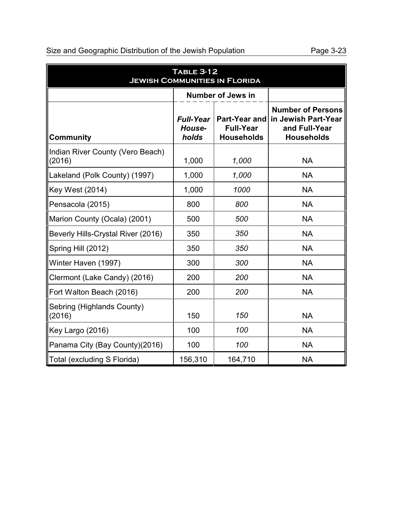| <b>TABLE 3-12</b><br><b>JEWISH COMMUNITIES IN FLORIDA</b> |                                     |                                                               |                                                                                       |  |  |
|-----------------------------------------------------------|-------------------------------------|---------------------------------------------------------------|---------------------------------------------------------------------------------------|--|--|
|                                                           | <b>Number of Jews in</b>            |                                                               |                                                                                       |  |  |
| <b>Community</b>                                          | <b>Full-Year</b><br>House-<br>holds | <b>Part-Year and</b><br><b>Full-Year</b><br><b>Households</b> | <b>Number of Persons</b><br>in Jewish Part-Year<br>and Full-Year<br><b>Households</b> |  |  |
| Indian River County (Vero Beach)<br>(2016)                | 1,000                               | 1,000                                                         | <b>NA</b>                                                                             |  |  |
| Lakeland (Polk County) (1997)                             | 1,000                               | 1,000                                                         | <b>NA</b>                                                                             |  |  |
| <b>Key West (2014)</b>                                    | 1,000                               | 1000                                                          | <b>NA</b>                                                                             |  |  |
| Pensacola (2015)                                          | 800                                 | 800                                                           | <b>NA</b>                                                                             |  |  |
| Marion County (Ocala) (2001)                              | 500                                 | 500                                                           | <b>NA</b>                                                                             |  |  |
| Beverly Hills-Crystal River (2016)                        | 350                                 | 350                                                           | <b>NA</b>                                                                             |  |  |
| Spring Hill (2012)                                        | 350                                 | 350                                                           | <b>NA</b>                                                                             |  |  |
| Winter Haven (1997)                                       | 300                                 | 300                                                           | <b>NA</b>                                                                             |  |  |
| Clermont (Lake Candy) (2016)                              | 200                                 | 200                                                           | <b>NA</b>                                                                             |  |  |
| Fort Walton Beach (2016)                                  | 200                                 | 200                                                           | <b>NA</b>                                                                             |  |  |
| Sebring (Highlands County)<br>(2016)                      | 150                                 | 150                                                           | <b>NA</b>                                                                             |  |  |
| Key Largo (2016)                                          | 100                                 | 100                                                           | <b>NA</b>                                                                             |  |  |
| Panama City (Bay County)(2016)                            | 100                                 | 100                                                           | <b>NA</b>                                                                             |  |  |
| Total (excluding S Florida)                               | 156,310                             | 164,710                                                       | <b>NA</b>                                                                             |  |  |

### Size and Geographic Distribution of the Jewish Population Page 3-23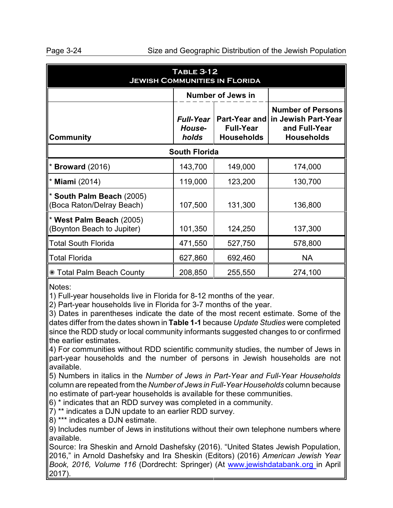| <b>TABLE 3-12</b><br><b>JEWISH COMMUNITIES IN FLORIDA</b> |                                     |                                       |                                                                                                     |  |  |
|-----------------------------------------------------------|-------------------------------------|---------------------------------------|-----------------------------------------------------------------------------------------------------|--|--|
|                                                           |                                     | <b>Number of Jews in</b>              |                                                                                                     |  |  |
| <b>Community</b>                                          | <b>Full-Year</b><br>House-<br>holds | <b>Full-Year</b><br><b>Households</b> | <b>Number of Persons</b><br>Part-Year and in Jewish Part-Year<br>and Full-Year<br><b>Households</b> |  |  |
| <b>South Florida</b>                                      |                                     |                                       |                                                                                                     |  |  |
| <b>Broward</b> (2016)                                     | 143,700                             | 149,000                               | 174,000                                                                                             |  |  |
| <b>Miami</b> (2014)                                       | 119,000                             | 123,200                               | 130,700                                                                                             |  |  |
| South Palm Beach (2005)<br>(Boca Raton/Delray Beach)      | 107,500                             | 131,300                               | 136,800                                                                                             |  |  |
| West Palm Beach (2005)<br>(Boynton Beach to Jupiter)      | 101,350                             | 124,250                               | 137,300                                                                                             |  |  |
| Total South Florida                                       | 471,550                             | 527,750                               | 578,800                                                                                             |  |  |
| Total Florida                                             | 627,860                             | 692,460                               | <b>NA</b>                                                                                           |  |  |
| K Total Palm Beach County                                 | 208,850                             | 255,550                               | 274,100                                                                                             |  |  |

Notes:

1) Full-year households live in Florida for 8-12 months of the year.

2) Part-year households live in Florida for 3-7 months of the year.

3) Dates in parentheses indicate the date of the most recent estimate. Some of the dates differ from the dates shown in **Table 1-1** because *Update Studies* were completed since the RDD study or local community informants suggested changes to or confirmed the earlier estimates.

4) For communities without RDD scientific community studies, the number of Jews in part-year households and the number of persons in Jewish households are not available.

5) Numbers in italics in the *Number of Jews in Part-Year and Full-Year Households* column are repeated from the *Number of Jews in Full-Year Households* column because no estimate of part-year households is available for these communities.

6) \* indicates that an RDD survey was completed in a community.

 $\overline{7}$ ) \*\* indicates a DJN update to an earlier RDD survey.

8) \*\*\* indicates a DJN estimate.

9) Includes number of Jews in institutions without their own telephone numbers where available.

Source: Ira Sheskin and Arnold Dashefsky (2016). "United States Jewish Population, 2016," in Arnold Dashefsky and Ira Sheskin (Editors) (2016) *American Jewish Year Book, 2016, Volume 116* (Dordrecht: Springer) (At [www.jewishdatabank.org](http://www.jewishdatabank.org) in April 2017).